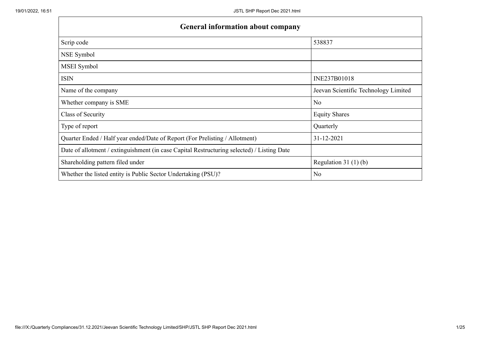$\mathbf{r}$ 

| <b>General information about company</b>                                                   |                                      |
|--------------------------------------------------------------------------------------------|--------------------------------------|
| Scrip code                                                                                 | 538837                               |
| NSE Symbol                                                                                 |                                      |
| MSEI Symbol                                                                                |                                      |
| <b>ISIN</b>                                                                                | INE237B01018                         |
| Name of the company                                                                        | Jeevan Scientific Technology Limited |
| Whether company is SME                                                                     | N <sub>o</sub>                       |
| Class of Security                                                                          | <b>Equity Shares</b>                 |
| Type of report                                                                             | Quarterly                            |
| Quarter Ended / Half year ended/Date of Report (For Prelisting / Allotment)                | 31-12-2021                           |
| Date of allotment / extinguishment (in case Capital Restructuring selected) / Listing Date |                                      |
| Shareholding pattern filed under                                                           | Regulation $31(1)(b)$                |
| Whether the listed entity is Public Sector Undertaking (PSU)?                              | N <sub>0</sub>                       |

h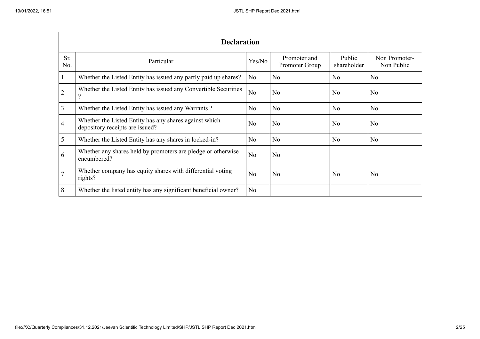|                | <b>Declaration</b>                                                                        |                |                                |                       |                             |  |  |  |  |  |  |  |
|----------------|-------------------------------------------------------------------------------------------|----------------|--------------------------------|-----------------------|-----------------------------|--|--|--|--|--|--|--|
| Sr.<br>No.     | Particular                                                                                | Yes/No         | Promoter and<br>Promoter Group | Public<br>shareholder | Non Promoter-<br>Non Public |  |  |  |  |  |  |  |
| $\mathbf{1}$   | Whether the Listed Entity has issued any partly paid up shares?                           | No             | N <sub>o</sub>                 | N <sub>o</sub>        | N <sub>o</sub>              |  |  |  |  |  |  |  |
| $\overline{2}$ | Whether the Listed Entity has issued any Convertible Securities                           | N <sub>o</sub> | N <sub>o</sub>                 | N <sub>o</sub>        | N <sub>o</sub>              |  |  |  |  |  |  |  |
| 3              | Whether the Listed Entity has issued any Warrants?                                        | N <sub>o</sub> | N <sub>o</sub>                 | N <sub>o</sub>        | N <sub>o</sub>              |  |  |  |  |  |  |  |
| $\overline{4}$ | Whether the Listed Entity has any shares against which<br>depository receipts are issued? | No             | N <sub>o</sub>                 | No                    | N <sub>o</sub>              |  |  |  |  |  |  |  |
| 5              | Whether the Listed Entity has any shares in locked-in?                                    | N <sub>o</sub> | N <sub>o</sub>                 | N <sub>o</sub>        | N <sub>o</sub>              |  |  |  |  |  |  |  |
| 6              | Whether any shares held by promoters are pledge or otherwise<br>encumbered?               | N <sub>o</sub> | N <sub>o</sub>                 |                       |                             |  |  |  |  |  |  |  |
|                | Whether company has equity shares with differential voting<br>rights?                     | N <sub>o</sub> | N <sub>o</sub>                 | N <sub>o</sub>        | N <sub>o</sub>              |  |  |  |  |  |  |  |
| 8              | Whether the listed entity has any significant beneficial owner?                           | No             |                                |                       |                             |  |  |  |  |  |  |  |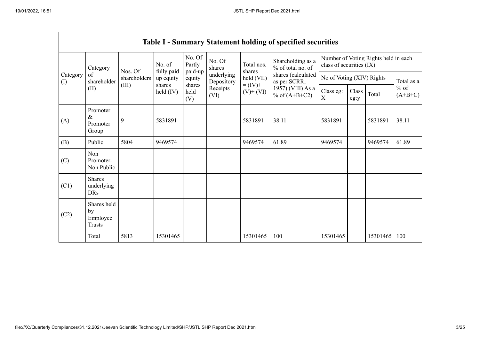r

|                 | <b>Table I - Summary Statement holding of specified securities</b> |              |                              |                             |                                              |                          |                                                                            |                                        |               |                                      |                     |  |
|-----------------|--------------------------------------------------------------------|--------------|------------------------------|-----------------------------|----------------------------------------------|--------------------------|----------------------------------------------------------------------------|----------------------------------------|---------------|--------------------------------------|---------------------|--|
|                 | Category                                                           | Nos. Of      | No. of<br>fully paid         | No. Of<br>Partly<br>paid-up | No. Of<br>shares                             | Total nos.<br>shares     | Shareholding as a<br>% of total no. of                                     | class of securities (IX)               |               | Number of Voting Rights held in each |                     |  |
| Category<br>(I) | of<br>shareholder                                                  | shareholders | up equity                    | equity                      | underlying<br>Depository<br>Receipts<br>(VI) | held (VII)               | shares (calculated<br>as per SCRR,<br>1957) (VIII) As a<br>% of $(A+B+C2)$ | No of Voting (XIV) Rights              |               |                                      | Total as a          |  |
|                 | (II)                                                               | (III)        | shares<br>$\text{held (IV)}$ | shares<br>held<br>(V)       |                                              | $= (IV) +$<br>$(V)+(VI)$ |                                                                            | Class eg:<br>$\boldsymbol{\mathrm{X}}$ | Class<br>eg:y | Total                                | $%$ of<br>$(A+B+C)$ |  |
| (A)             | Promoter<br>$\&$<br>Promoter<br>Group                              | 9            | 5831891                      |                             |                                              | 5831891                  | 38.11                                                                      | 5831891                                |               | 5831891                              | 38.11               |  |
| (B)             | Public                                                             | 5804         | 9469574                      |                             |                                              | 9469574                  | 61.89                                                                      | 9469574                                |               | 9469574                              | 61.89               |  |
| (C)             | Non<br>Promoter-<br>Non Public                                     |              |                              |                             |                                              |                          |                                                                            |                                        |               |                                      |                     |  |
| (C1)            | <b>Shares</b><br>underlying<br><b>DRs</b>                          |              |                              |                             |                                              |                          |                                                                            |                                        |               |                                      |                     |  |
| (C2)            | Shares held<br>by<br>Employee<br><b>Trusts</b>                     |              |                              |                             |                                              |                          |                                                                            |                                        |               |                                      |                     |  |
|                 | Total                                                              | 5813         | 15301465                     |                             |                                              | 15301465                 | 100                                                                        | 15301465                               |               | 15301465                             | 100                 |  |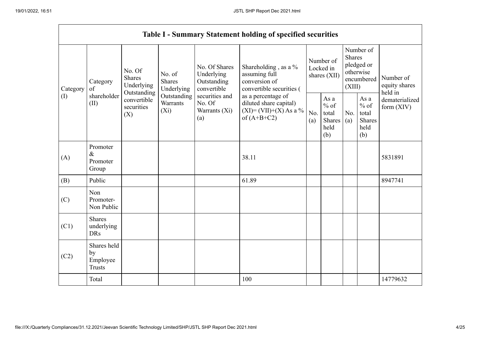$\blacksquare$ 

|          |                                                |                                                      |                                       |                                                           | <b>Table I - Summary Statement holding of specified securities</b>                         |            |                                                  |                         |                                                    |                                       |  |
|----------|------------------------------------------------|------------------------------------------------------|---------------------------------------|-----------------------------------------------------------|--------------------------------------------------------------------------------------------|------------|--------------------------------------------------|-------------------------|----------------------------------------------------|---------------------------------------|--|
| Category | Category<br>of                                 | No. Of<br><b>Shares</b><br>Underlying<br>Outstanding | No. of<br><b>Shares</b><br>Underlying | No. Of Shares<br>Underlying<br>Outstanding<br>convertible | Shareholding, as a %<br>assuming full<br>conversion of<br>convertible securities (         |            | Number of<br>Locked in<br>shares (XII)           | <b>Shares</b><br>(XIII) | Number of<br>pledged or<br>otherwise<br>encumbered | Number of<br>equity shares<br>held in |  |
| (I)      | shareholder<br>(II)                            | convertible<br>securities<br>(X)                     | Outstanding<br>Warrants<br>$(X_i)$    | securities and<br>No. Of<br>Warrants (Xi)<br>(a)          | as a percentage of<br>diluted share capital)<br>$(XI) = (VII)+(X) As a %$<br>of $(A+B+C2)$ | No.<br>(a) | As a<br>$%$ of<br>total<br>Shares<br>held<br>(b) | No.<br>(a)              | As a<br>$%$ of<br>total<br>Shares<br>held<br>(b)   | dematerialized<br>form $(XIV)$        |  |
| (A)      | Promoter<br>$\&$<br>Promoter<br>Group          |                                                      |                                       |                                                           | 38.11                                                                                      |            |                                                  |                         |                                                    | 5831891                               |  |
| (B)      | Public                                         |                                                      |                                       |                                                           | 61.89                                                                                      |            |                                                  |                         |                                                    | 8947741                               |  |
| (C)      | Non<br>Promoter-<br>Non Public                 |                                                      |                                       |                                                           |                                                                                            |            |                                                  |                         |                                                    |                                       |  |
| (C1)     | <b>Shares</b><br>underlying<br><b>DRs</b>      |                                                      |                                       |                                                           |                                                                                            |            |                                                  |                         |                                                    |                                       |  |
| (C2)     | Shares held<br>by<br>Employee<br><b>Trusts</b> |                                                      |                                       |                                                           |                                                                                            |            |                                                  |                         |                                                    |                                       |  |
|          | Total                                          |                                                      |                                       |                                                           | 100                                                                                        |            |                                                  |                         |                                                    | 14779632                              |  |

 $\overline{\phantom{0}}$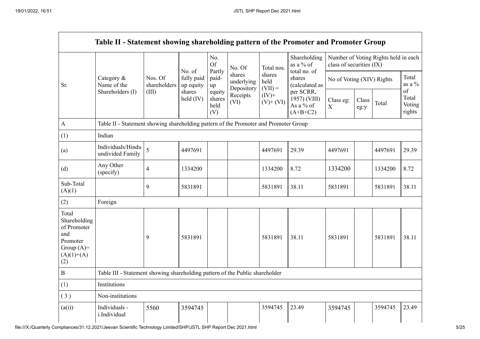$\mathbf{r}$ 

|                                                                                                | Table II - Statement showing shareholding pattern of the Promoter and Promoter Group                                                      |                         |                                   |                                 |                                    |                             |                                                      |                                           |               |         |                                 |
|------------------------------------------------------------------------------------------------|-------------------------------------------------------------------------------------------------------------------------------------------|-------------------------|-----------------------------------|---------------------------------|------------------------------------|-----------------------------|------------------------------------------------------|-------------------------------------------|---------------|---------|---------------------------------|
|                                                                                                | No.<br>Shareholding<br>Number of Voting Rights held in each<br><b>Of</b><br>as a % of<br>class of securities (IX)<br>No. Of<br>Total nos. |                         |                                   |                                 |                                    |                             |                                                      |                                           |               |         |                                 |
| Sr.                                                                                            | Category &<br>Name of the                                                                                                                 | Nos. Of<br>shareholders | No. of<br>fully paid<br>up equity | Partly<br>paid-<br>up           | shares<br>underlying<br>Depository | shares<br>held<br>$(VII) =$ | shares<br>(calculated as                             | total no. of<br>No of Voting (XIV) Rights |               |         | Total<br>as a $\%$              |
|                                                                                                | Shareholders (I)                                                                                                                          | (III)                   | shares<br>held $(IV)$             | equity<br>shares<br>held<br>(V) | Receipts<br>(VI)                   | $(IV)$ +<br>$(V)$ + $(VI)$  | per SCRR,<br>1957) (VIII)<br>As a % of<br>$(A+B+C2)$ | Class eg:<br>X                            | Class<br>eg:y | Total   | of<br>Total<br>Voting<br>rights |
| $\boldsymbol{\rm{A}}$                                                                          | Table II - Statement showing shareholding pattern of the Promoter and Promoter Group                                                      |                         |                                   |                                 |                                    |                             |                                                      |                                           |               |         |                                 |
| (1)                                                                                            | Indian                                                                                                                                    |                         |                                   |                                 |                                    |                             |                                                      |                                           |               |         |                                 |
| (a)                                                                                            | Individuals/Hindu<br>undivided Family                                                                                                     | 5                       | 4497691                           |                                 |                                    | 4497691                     | 29.39                                                | 4497691                                   |               | 4497691 | 29.39                           |
| (d)                                                                                            | Any Other<br>(specify)                                                                                                                    | $\overline{4}$          | 1334200                           |                                 |                                    | 1334200                     | 8.72                                                 | 1334200                                   |               | 1334200 | 8.72                            |
| Sub-Total<br>(A)(1)                                                                            |                                                                                                                                           | 9                       | 5831891                           |                                 |                                    | 5831891                     | 38.11                                                | 5831891                                   |               | 5831891 | 38.11                           |
| (2)                                                                                            | Foreign                                                                                                                                   |                         |                                   |                                 |                                    |                             |                                                      |                                           |               |         |                                 |
| Total<br>Shareholding<br>of Promoter<br>and<br>Promoter<br>Group $(A)=$<br>$(A)(1)+(A)$<br>(2) |                                                                                                                                           | 9                       | 5831891                           |                                 |                                    | 5831891                     | 38.11                                                | 5831891                                   |               | 5831891 | 38.11                           |
| $\, {\bf B}$                                                                                   | Table III - Statement showing shareholding pattern of the Public shareholder                                                              |                         |                                   |                                 |                                    |                             |                                                      |                                           |               |         |                                 |
| (1)                                                                                            | Institutions                                                                                                                              |                         |                                   |                                 |                                    |                             |                                                      |                                           |               |         |                                 |
| (3)                                                                                            | Non-institutions                                                                                                                          |                         |                                   |                                 |                                    |                             |                                                      |                                           |               |         |                                 |
| (a(i))                                                                                         | Individuals -<br>i.Individual                                                                                                             | 5560                    | 3594745                           |                                 |                                    | 3594745                     | 23.49                                                | 3594745                                   |               | 3594745 | 23.49                           |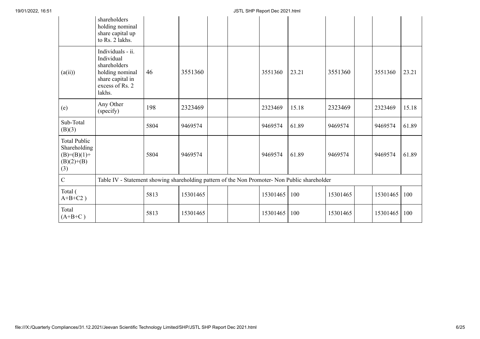|                                                                             | shareholders<br>holding nominal<br>share capital up<br>to Rs. 2 lakhs.                                              |      |          |  |          |       |          |          |       |
|-----------------------------------------------------------------------------|---------------------------------------------------------------------------------------------------------------------|------|----------|--|----------|-------|----------|----------|-------|
| (a(ii))                                                                     | Individuals - ii.<br>Individual<br>shareholders<br>holding nominal<br>share capital in<br>excess of Rs. 2<br>lakhs. | 46   | 3551360  |  | 3551360  | 23.21 | 3551360  | 3551360  | 23.21 |
| (e)                                                                         | Any Other<br>(specify)                                                                                              | 198  | 2323469  |  | 2323469  | 15.18 | 2323469  | 2323469  | 15.18 |
| Sub-Total<br>(B)(3)                                                         |                                                                                                                     | 5804 | 9469574  |  | 9469574  | 61.89 | 9469574  | 9469574  | 61.89 |
| <b>Total Public</b><br>Shareholding<br>$(B)=(B)(1)+$<br>$(B)(2)+(B)$<br>(3) |                                                                                                                     | 5804 | 9469574  |  | 9469574  | 61.89 | 9469574  | 9469574  | 61.89 |
| $\overline{C}$                                                              | Table IV - Statement showing shareholding pattern of the Non Promoter- Non Public shareholder                       |      |          |  |          |       |          |          |       |
| Total (<br>$A+B+C2$ )                                                       |                                                                                                                     | 5813 | 15301465 |  | 15301465 | 100   | 15301465 | 15301465 | 100   |
| Total<br>$(A+B+C)$                                                          |                                                                                                                     | 5813 | 15301465 |  | 15301465 | 100   | 15301465 | 15301465 | 100   |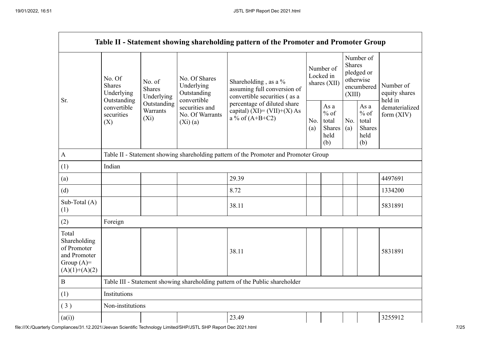|                                                                                         |                                                      |                                       |                                                           | Table II - Statement showing shareholding pattern of the Promoter and Promoter Group    |            |                                                  |                                       |                                                         |                                |  |
|-----------------------------------------------------------------------------------------|------------------------------------------------------|---------------------------------------|-----------------------------------------------------------|-----------------------------------------------------------------------------------------|------------|--------------------------------------------------|---------------------------------------|---------------------------------------------------------|--------------------------------|--|
| Sr.                                                                                     | No. Of<br><b>Shares</b><br>Underlying<br>Outstanding | No. of<br><b>Shares</b><br>Underlying | No. Of Shares<br>Underlying<br>Outstanding<br>convertible | Shareholding , as a $\%$<br>assuming full conversion of<br>convertible securities (as a |            | Number of<br>Locked in<br>shares (XII)           | Number of<br>equity shares<br>held in |                                                         |                                |  |
|                                                                                         | convertible<br>securities<br>(X)                     | Outstanding<br>Warrants<br>$(X_i)$    | securities and<br>No. Of Warrants<br>(Xi)(a)              | percentage of diluted share<br>capital) $(XI) = (VII)+(X) As$<br>a % of $(A+B+C2)$      | No.<br>(a) | As a<br>$%$ of<br>total<br>Shares<br>held<br>(b) | No.<br>(a)                            | As a<br>$%$ of<br>total<br><b>Shares</b><br>held<br>(b) | dematerialized<br>form $(XIV)$ |  |
| $\mathbf{A}$                                                                            |                                                      |                                       |                                                           | Table II - Statement showing shareholding pattern of the Promoter and Promoter Group    |            |                                                  |                                       |                                                         |                                |  |
| (1)                                                                                     | Indian                                               |                                       |                                                           |                                                                                         |            |                                                  |                                       |                                                         |                                |  |
| (a)                                                                                     |                                                      |                                       |                                                           | 29.39                                                                                   |            |                                                  |                                       |                                                         | 4497691                        |  |
| (d)                                                                                     |                                                      |                                       |                                                           | 8.72                                                                                    |            |                                                  |                                       |                                                         | 1334200                        |  |
| Sub-Total (A)<br>(1)                                                                    |                                                      |                                       |                                                           | 38.11                                                                                   |            |                                                  |                                       |                                                         | 5831891                        |  |
| (2)                                                                                     | Foreign                                              |                                       |                                                           |                                                                                         |            |                                                  |                                       |                                                         |                                |  |
| Total<br>Shareholding<br>of Promoter<br>and Promoter<br>Group $(A)=$<br>$(A)(1)+(A)(2)$ |                                                      |                                       |                                                           | 38.11                                                                                   |            |                                                  |                                       |                                                         | 5831891                        |  |
| $\, {\bf B}$                                                                            |                                                      |                                       |                                                           | Table III - Statement showing shareholding pattern of the Public shareholder            |            |                                                  |                                       |                                                         |                                |  |
| (1)                                                                                     | Institutions                                         |                                       |                                                           |                                                                                         |            |                                                  |                                       |                                                         |                                |  |
| (3)                                                                                     | Non-institutions                                     |                                       |                                                           |                                                                                         |            |                                                  |                                       |                                                         |                                |  |
| (a(i))                                                                                  |                                                      |                                       |                                                           | 23.49                                                                                   |            |                                                  |                                       |                                                         | 3255912                        |  |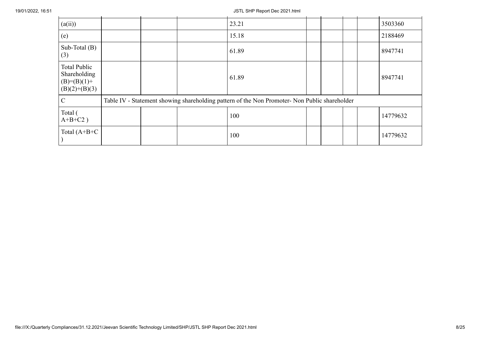| (a(ii))                                                                 |  | 23.21                                                                                         |  |  | 3503360  |
|-------------------------------------------------------------------------|--|-----------------------------------------------------------------------------------------------|--|--|----------|
| (e)                                                                     |  | 15.18                                                                                         |  |  | 2188469  |
| Sub-Total $(B)$<br>(3)                                                  |  | 61.89                                                                                         |  |  | 8947741  |
| <b>Total Public</b><br>Shareholding<br>$(B)=(B)(1)+$<br>$(B)(2)+(B)(3)$ |  | 61.89                                                                                         |  |  | 8947741  |
| $\mathcal{C}$                                                           |  | Table IV - Statement showing shareholding pattern of the Non Promoter- Non Public shareholder |  |  |          |
| Total (<br>$A+B+C2$ )                                                   |  | 100                                                                                           |  |  | 14779632 |
| Total $(A+B+C$                                                          |  | 100                                                                                           |  |  | 14779632 |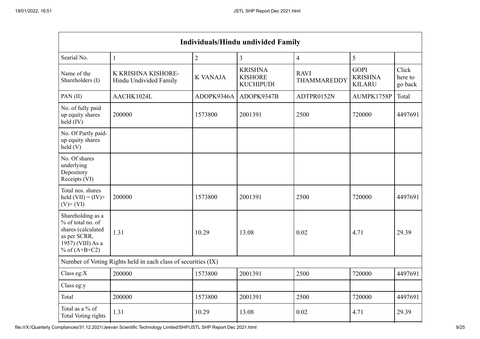| <b>Individuals/Hindu undivided Family</b>                                                                            |                                                               |                 |                                                      |                            |                                                |                             |  |  |  |  |  |  |
|----------------------------------------------------------------------------------------------------------------------|---------------------------------------------------------------|-----------------|------------------------------------------------------|----------------------------|------------------------------------------------|-----------------------------|--|--|--|--|--|--|
| Searial No.<br>$\overline{2}$<br>3<br>$\overline{\mathbf{4}}$<br>5<br>$\mathbf{1}$                                   |                                                               |                 |                                                      |                            |                                                |                             |  |  |  |  |  |  |
| Name of the<br>Shareholders (I)                                                                                      | K KRISHNA KISHORE-<br>Hindu Undivided Family                  | <b>K VANAJA</b> | <b>KRISHNA</b><br><b>KISHORE</b><br><b>KUCHIPUDI</b> | <b>RAVI</b><br>THAMMAREDDY | <b>GOPI</b><br><b>KRISHNA</b><br><b>KILARU</b> | Click<br>here to<br>go back |  |  |  |  |  |  |
| PAN(II)                                                                                                              | AACHK1024L                                                    | ADOPK9346A      | ADOPK9347B                                           | ADTPR0152N                 | AUMPK1758P                                     | Total                       |  |  |  |  |  |  |
| No. of fully paid<br>up equity shares<br>$\text{held (IV)}$                                                          | 200000                                                        | 1573800         | 2001391                                              | 2500                       | 720000                                         | 4497691                     |  |  |  |  |  |  |
| No. Of Partly paid-<br>up equity shares<br>held(V)                                                                   |                                                               |                 |                                                      |                            |                                                |                             |  |  |  |  |  |  |
| No. Of shares<br>underlying<br>Depository<br>Receipts (VI)                                                           |                                                               |                 |                                                      |                            |                                                |                             |  |  |  |  |  |  |
| Total nos. shares<br>held $(VII) = (IV) +$<br>$(V)$ + $(VI)$                                                         | 200000                                                        | 1573800         | 2001391                                              | 2500                       | 720000                                         | 4497691                     |  |  |  |  |  |  |
| Shareholding as a<br>% of total no. of<br>shares (calculated<br>as per SCRR,<br>1957) (VIII) As a<br>% of $(A+B+C2)$ | 1.31                                                          | 10.29           | 13.08                                                | 0.02                       | 4.71                                           | 29.39                       |  |  |  |  |  |  |
|                                                                                                                      | Number of Voting Rights held in each class of securities (IX) |                 |                                                      |                            |                                                |                             |  |  |  |  |  |  |
| Class eg: $X$                                                                                                        | 200000                                                        | 1573800         | 2001391                                              | 2500                       | 720000                                         | 4497691                     |  |  |  |  |  |  |
| Class eg:y                                                                                                           |                                                               |                 |                                                      |                            |                                                |                             |  |  |  |  |  |  |
| Total                                                                                                                | 200000                                                        | 1573800         | 2001391                                              | 2500                       | 720000                                         | 4497691                     |  |  |  |  |  |  |
| Total as a % of<br>Total Voting rights                                                                               | 1.31                                                          | 10.29           | 13.08                                                | 0.02                       | 4.71                                           | 29.39                       |  |  |  |  |  |  |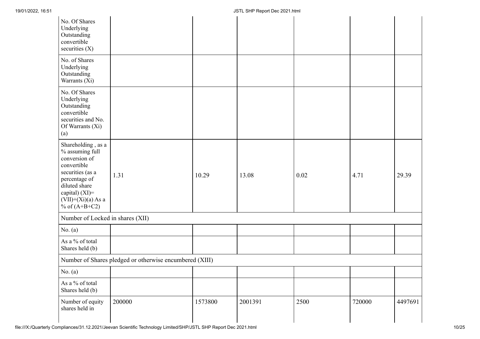| No. Of Shares<br>Underlying<br>Outstanding<br>convertible<br>securities $(X)$                                                                                                            |                                                         |         |         |      |        |         |
|------------------------------------------------------------------------------------------------------------------------------------------------------------------------------------------|---------------------------------------------------------|---------|---------|------|--------|---------|
| No. of Shares<br>Underlying<br>Outstanding<br>Warrants (Xi)                                                                                                                              |                                                         |         |         |      |        |         |
| No. Of Shares<br>Underlying<br>Outstanding<br>convertible<br>securities and No.<br>Of Warrants (Xi)<br>(a)                                                                               |                                                         |         |         |      |        |         |
| Shareholding, as a<br>% assuming full<br>conversion of<br>convertible<br>securities (as a<br>percentage of<br>diluted share<br>capital) (XI)=<br>$(VII)+(Xi)(a)$ As a<br>% of $(A+B+C2)$ | 1.31                                                    | 10.29   | 13.08   | 0.02 | 4.71   | 29.39   |
| Number of Locked in shares (XII)                                                                                                                                                         |                                                         |         |         |      |        |         |
| No. $(a)$                                                                                                                                                                                |                                                         |         |         |      |        |         |
| As a % of total<br>Shares held (b)                                                                                                                                                       |                                                         |         |         |      |        |         |
|                                                                                                                                                                                          | Number of Shares pledged or otherwise encumbered (XIII) |         |         |      |        |         |
| No. $(a)$                                                                                                                                                                                |                                                         |         |         |      |        |         |
| As a % of total<br>Shares held (b)                                                                                                                                                       |                                                         |         |         |      |        |         |
| Number of equity<br>shares held in                                                                                                                                                       | 200000                                                  | 1573800 | 2001391 | 2500 | 720000 | 4497691 |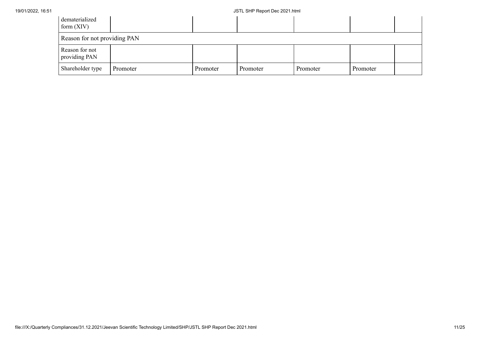| dematerialized<br>form $(XIV)$  |          |          |          |          |          |  |
|---------------------------------|----------|----------|----------|----------|----------|--|
| Reason for not providing PAN    |          |          |          |          |          |  |
| Reason for not<br>providing PAN |          |          |          |          |          |  |
| Shareholder type                | Promoter | Promoter | Promoter | Promoter | Promoter |  |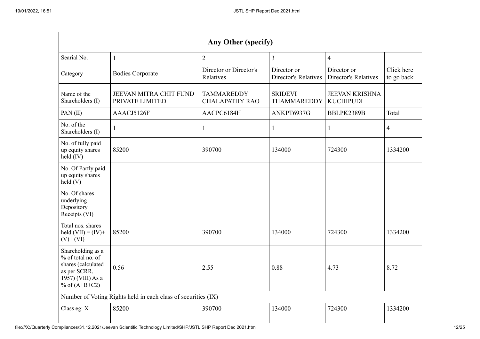|                                                                                                                      | Any Other (specify)                                           |                                            |                                            |                                            |                          |  |  |  |  |  |  |
|----------------------------------------------------------------------------------------------------------------------|---------------------------------------------------------------|--------------------------------------------|--------------------------------------------|--------------------------------------------|--------------------------|--|--|--|--|--|--|
| Searial No.                                                                                                          | $\mathbf{1}$                                                  | $\overline{2}$                             | $\overline{3}$                             | $\overline{4}$                             |                          |  |  |  |  |  |  |
| Category                                                                                                             | <b>Bodies Corporate</b>                                       | Director or Director's<br>Relatives        | Director or<br><b>Director's Relatives</b> | Director or<br><b>Director's Relatives</b> | Click here<br>to go back |  |  |  |  |  |  |
| Name of the<br>Shareholders (I)                                                                                      | JEEVAN MITRA CHIT FUND<br>PRIVATE LIMITED                     | <b>TAMMAREDDY</b><br><b>CHALAPATHY RAO</b> | <b>SRIDEVI</b><br><b>THAMMAREDDY</b>       | <b>JEEVAN KRISHNA</b><br><b>KUCHIPUDI</b>  |                          |  |  |  |  |  |  |
| PAN(II)                                                                                                              | AAACJ5126F                                                    | AACPC6184H                                 | ANKPT6937G                                 | BBLPK2389B                                 | Total                    |  |  |  |  |  |  |
| No. of the<br>Shareholders (I)                                                                                       | -1                                                            | 1                                          | 1                                          | 1                                          | 4                        |  |  |  |  |  |  |
| No. of fully paid<br>up equity shares<br>held (IV)                                                                   | 85200                                                         | 390700                                     | 134000                                     | 724300                                     | 1334200                  |  |  |  |  |  |  |
| No. Of Partly paid-<br>up equity shares<br>held(V)                                                                   |                                                               |                                            |                                            |                                            |                          |  |  |  |  |  |  |
| No. Of shares<br>underlying<br>Depository<br>Receipts (VI)                                                           |                                                               |                                            |                                            |                                            |                          |  |  |  |  |  |  |
| Total nos. shares<br>held $(VII) = (IV) +$<br>$(V)$ + $(VI)$                                                         | 85200                                                         | 390700                                     | 134000                                     | 724300                                     | 1334200                  |  |  |  |  |  |  |
| Shareholding as a<br>% of total no. of<br>shares (calculated<br>as per SCRR,<br>1957) (VIII) As a<br>% of $(A+B+C2)$ | 0.56                                                          | 2.55                                       | 0.88                                       | 4.73                                       | 8.72                     |  |  |  |  |  |  |
|                                                                                                                      | Number of Voting Rights held in each class of securities (IX) |                                            |                                            |                                            |                          |  |  |  |  |  |  |
| Class eg: X                                                                                                          | 85200                                                         | 390700                                     | 134000                                     | 724300                                     | 1334200                  |  |  |  |  |  |  |
|                                                                                                                      |                                                               |                                            |                                            |                                            |                          |  |  |  |  |  |  |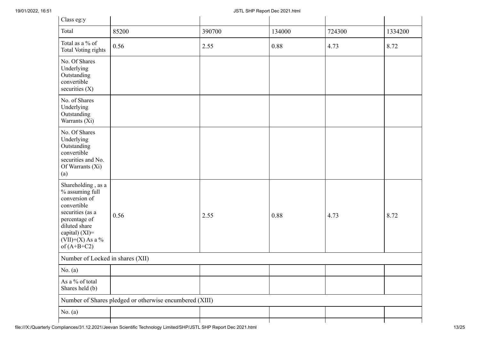| Class eg:y                                                                                                                                                                           |                                                         |        |        |        |         |  |
|--------------------------------------------------------------------------------------------------------------------------------------------------------------------------------------|---------------------------------------------------------|--------|--------|--------|---------|--|
| Total                                                                                                                                                                                | 85200                                                   | 390700 | 134000 | 724300 | 1334200 |  |
| Total as a % of<br><b>Total Voting rights</b>                                                                                                                                        | 0.56                                                    | 2.55   | 0.88   | 4.73   | 8.72    |  |
| No. Of Shares<br>Underlying<br>Outstanding<br>convertible<br>securities (X)                                                                                                          |                                                         |        |        |        |         |  |
| No. of Shares<br>Underlying<br>Outstanding<br>Warrants (Xi)                                                                                                                          |                                                         |        |        |        |         |  |
| No. Of Shares<br>Underlying<br>Outstanding<br>convertible<br>securities and No.<br>Of Warrants (Xi)<br>(a)                                                                           |                                                         |        |        |        |         |  |
| Shareholding, as a<br>% assuming full<br>conversion of<br>convertible<br>securities (as a<br>percentage of<br>diluted share<br>capital) (XI)=<br>$(VII)+(X)$ As a %<br>of $(A+B+C2)$ | 0.56                                                    | 2.55   | 0.88   | 4.73   | 8.72    |  |
|                                                                                                                                                                                      | Number of Locked in shares (XII)                        |        |        |        |         |  |
| No. $(a)$                                                                                                                                                                            |                                                         |        |        |        |         |  |
| As a % of total<br>Shares held (b)                                                                                                                                                   |                                                         |        |        |        |         |  |
|                                                                                                                                                                                      | Number of Shares pledged or otherwise encumbered (XIII) |        |        |        |         |  |
| No. $(a)$                                                                                                                                                                            |                                                         |        |        |        |         |  |
|                                                                                                                                                                                      |                                                         |        |        |        |         |  |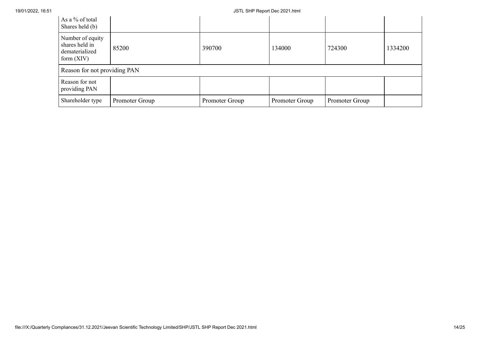| As a % of total<br>Shares held (b)                                   |                |                |                |                |         |
|----------------------------------------------------------------------|----------------|----------------|----------------|----------------|---------|
| Number of equity<br>shares held in<br>dematerialized<br>form $(XIV)$ | 85200          | 390700         | 134000         | 724300         | 1334200 |
| Reason for not providing PAN                                         |                |                |                |                |         |
| Reason for not<br>providing PAN                                      |                |                |                |                |         |
| Shareholder type                                                     | Promoter Group | Promoter Group | Promoter Group | Promoter Group |         |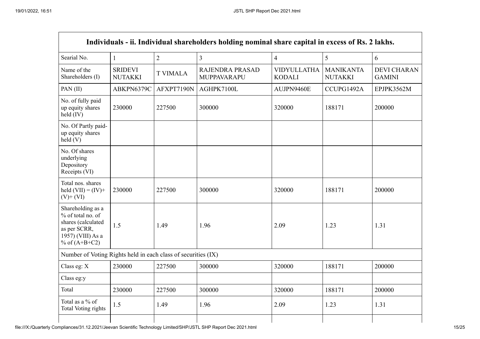$\blacksquare$ 

|                                                                                                                      |                                  |                 | Individuals - ii. Individual shareholders holding nominal share capital in excess of Rs. 2 lakhs. |                                     |                                    |                                     |
|----------------------------------------------------------------------------------------------------------------------|----------------------------------|-----------------|---------------------------------------------------------------------------------------------------|-------------------------------------|------------------------------------|-------------------------------------|
| Searial No.                                                                                                          | $\mathbf{1}$                     | $\overline{2}$  | $\overline{3}$                                                                                    | $\overline{4}$                      | 5                                  | 6                                   |
| Name of the<br>Shareholders (I)                                                                                      | <b>SRIDEVI</b><br><b>NUTAKKI</b> | <b>T VIMALA</b> | RAJENDRA PRASAD<br>MUPPAVARAPU                                                                    | <b>VIDYULLATHA</b><br><b>KODALI</b> | <b>MANIKANTA</b><br><b>NUTAKKI</b> | <b>DEVI CHARAN</b><br><b>GAMINI</b> |
| PAN $(II)$                                                                                                           | ABKPN6379C                       | AFXPT7190N      | AGHPK7100L                                                                                        | AUJPN9460E                          | CCUPG1492A                         | EPJPK3562M                          |
| No. of fully paid<br>up equity shares<br>held (IV)                                                                   | 230000                           | 227500          | 300000                                                                                            | 320000                              | 188171                             | 200000                              |
| No. Of Partly paid-<br>up equity shares<br>held(V)                                                                   |                                  |                 |                                                                                                   |                                     |                                    |                                     |
| No. Of shares<br>underlying<br>Depository<br>Receipts (VI)                                                           |                                  |                 |                                                                                                   |                                     |                                    |                                     |
| Total nos. shares<br>held $(VII) = (IV) +$<br>$(V)$ + $(VI)$                                                         | 230000                           | 227500          | 300000                                                                                            | 320000                              | 188171                             | 200000                              |
| Shareholding as a<br>% of total no. of<br>shares (calculated<br>as per SCRR,<br>1957) (VIII) As a<br>% of $(A+B+C2)$ | 1.5                              | 1.49            | 1.96                                                                                              | 2.09                                | 1.23                               | 1.31                                |
| Number of Voting Rights held in each class of securities (IX)                                                        |                                  |                 |                                                                                                   |                                     |                                    |                                     |
| Class eg: $X$                                                                                                        | 230000                           | 227500          | 300000                                                                                            | 320000                              | 188171                             | 200000                              |
| Class eg:y                                                                                                           |                                  |                 |                                                                                                   |                                     |                                    |                                     |
| Total                                                                                                                | 230000                           | 227500          | 300000                                                                                            | 320000                              | 188171                             | 200000                              |
| Total as a % of<br>Total Voting rights                                                                               | 1.5                              | 1.49            | 1.96                                                                                              | 2.09                                | 1.23                               | 1.31                                |
|                                                                                                                      |                                  |                 |                                                                                                   |                                     |                                    |                                     |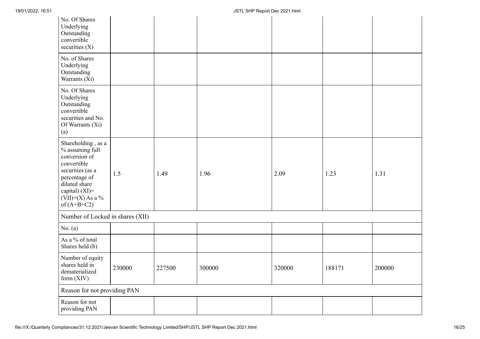| No. Of Shares<br>Underlying<br>Outstanding<br>convertible<br>securities $(X)$                                                                                                        |        |        |        |        |        |        |
|--------------------------------------------------------------------------------------------------------------------------------------------------------------------------------------|--------|--------|--------|--------|--------|--------|
| No. of Shares<br>Underlying<br>Outstanding<br>Warrants (Xi)                                                                                                                          |        |        |        |        |        |        |
| No. Of Shares<br>Underlying<br>Outstanding<br>convertible<br>securities and No.<br>Of Warrants (Xi)<br>$\left(a\right)$                                                              |        |        |        |        |        |        |
| Shareholding, as a<br>% assuming full<br>conversion of<br>convertible<br>securities (as a<br>percentage of<br>diluted share<br>capital) (XI)=<br>$(VII)+(X)$ As a %<br>of $(A+B+C2)$ | 1.5    | 1.49   | 1.96   | 2.09   | 1.23   | 1.31   |
| Number of Locked in shares (XII)                                                                                                                                                     |        |        |        |        |        |        |
| No. $(a)$                                                                                                                                                                            |        |        |        |        |        |        |
| As a % of total<br>Shares held (b)                                                                                                                                                   |        |        |        |        |        |        |
| Number of equity<br>shares held in<br>dematerialized<br>form $(XIV)$                                                                                                                 | 230000 | 227500 | 300000 | 320000 | 188171 | 200000 |
| Reason for not providing PAN                                                                                                                                                         |        |        |        |        |        |        |
| Reason for not<br>providing PAN                                                                                                                                                      |        |        |        |        |        |        |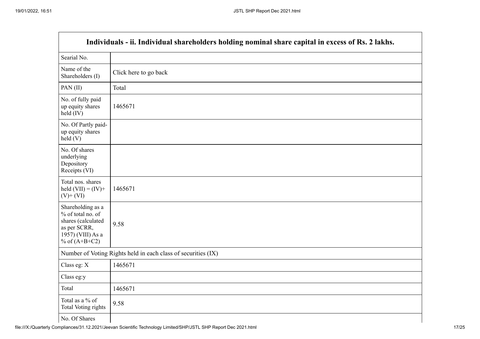|                                                                                                                      | Individuals - ii. Individual shareholders holding nominal share capital in excess of Rs. 2 lakhs. |
|----------------------------------------------------------------------------------------------------------------------|---------------------------------------------------------------------------------------------------|
| Searial No.                                                                                                          |                                                                                                   |
| Name of the<br>Shareholders (I)                                                                                      | Click here to go back                                                                             |
| PAN(II)                                                                                                              | Total                                                                                             |
| No. of fully paid<br>up equity shares<br>$held$ (IV)                                                                 | 1465671                                                                                           |
| No. Of Partly paid-<br>up equity shares<br>held(V)                                                                   |                                                                                                   |
| No. Of shares<br>underlying<br>Depository<br>Receipts (VI)                                                           |                                                                                                   |
| Total nos. shares<br>held $(VII) = (IV) +$<br>$(V)$ + $(VI)$                                                         | 1465671                                                                                           |
| Shareholding as a<br>% of total no. of<br>shares (calculated<br>as per SCRR,<br>1957) (VIII) As a<br>% of $(A+B+C2)$ | 9.58                                                                                              |
|                                                                                                                      | Number of Voting Rights held in each class of securities (IX)                                     |
| Class eg: X                                                                                                          | 1465671                                                                                           |
| Class eg:y                                                                                                           |                                                                                                   |
| Total                                                                                                                | 1465671                                                                                           |
| Total as a % of<br><b>Total Voting rights</b>                                                                        | 9.58                                                                                              |
| No. Of Shares                                                                                                        |                                                                                                   |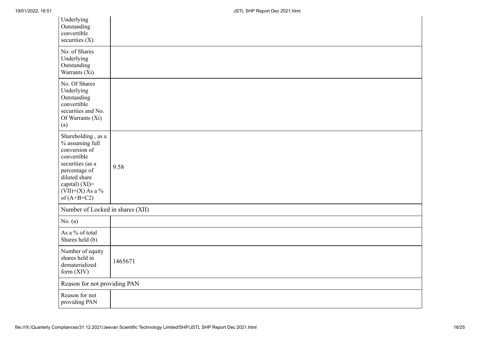| Underlying<br>Outstanding<br>convertible<br>securities $(X)$                                                                                                                         |         |
|--------------------------------------------------------------------------------------------------------------------------------------------------------------------------------------|---------|
| No. of Shares<br>Underlying<br>Outstanding<br>Warrants $(X_i)$                                                                                                                       |         |
| No. Of Shares<br>Underlying<br>Outstanding<br>convertible<br>securities and No.<br>Of Warrants (Xi)<br>(a)                                                                           |         |
| Shareholding, as a<br>% assuming full<br>conversion of<br>convertible<br>securities (as a<br>percentage of<br>diluted share<br>capital) (XI)=<br>$(VII)+(X)$ As a %<br>of $(A+B+C2)$ | 9.58    |
| Number of Locked in shares (XII)                                                                                                                                                     |         |
| No. $(a)$                                                                                                                                                                            |         |
| As a % of total<br>Shares held (b)                                                                                                                                                   |         |
| Number of equity<br>shares held in<br>dematerialized<br>form $(XIV)$                                                                                                                 | 1465671 |
| Reason for not providing PAN                                                                                                                                                         |         |
| Reason for not<br>providing PAN                                                                                                                                                      |         |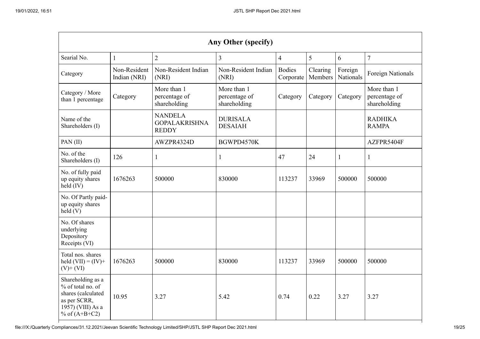|                                                                                                                      | Any Other (specify)          |                                                        |                                              |                            |                     |                      |                                              |
|----------------------------------------------------------------------------------------------------------------------|------------------------------|--------------------------------------------------------|----------------------------------------------|----------------------------|---------------------|----------------------|----------------------------------------------|
| Searial No.                                                                                                          | $\mathbf{1}$                 | $\overline{2}$                                         | 3                                            | $\overline{4}$             | 5                   | 6                    | $\overline{7}$                               |
| Category                                                                                                             | Non-Resident<br>Indian (NRI) | Non-Resident Indian<br>(NRI)                           | Non-Resident Indian<br>(NRI)                 | <b>Bodies</b><br>Corporate | Clearing<br>Members | Foreign<br>Nationals | <b>Foreign Nationals</b>                     |
| Category / More<br>than 1 percentage                                                                                 | Category                     | More than 1<br>percentage of<br>shareholding           | More than 1<br>percentage of<br>shareholding | Category                   | Category            | Category             | More than 1<br>percentage of<br>shareholding |
| Name of the<br>Shareholders (I)                                                                                      |                              | <b>NANDELA</b><br><b>GOPALAKRISHNA</b><br><b>REDDY</b> | <b>DURISALA</b><br><b>DESAIAH</b>            |                            |                     |                      | <b>RADHIKA</b><br><b>RAMPA</b>               |
| PAN(II)                                                                                                              |                              | AWZPR4324D                                             | BGWPD4570K                                   |                            |                     |                      | AZFPR5404F                                   |
| No. of the<br>Shareholders (I)                                                                                       | 126                          | $\mathbf{1}$                                           | 1                                            | 47                         | 24                  | 1                    | $\mathbf{1}$                                 |
| No. of fully paid<br>up equity shares<br>$held$ (IV)                                                                 | 1676263                      | 500000                                                 | 830000                                       | 113237                     | 33969               | 500000               | 500000                                       |
| No. Of Partly paid-<br>up equity shares<br>held(V)                                                                   |                              |                                                        |                                              |                            |                     |                      |                                              |
| No. Of shares<br>underlying<br>Depository<br>Receipts (VI)                                                           |                              |                                                        |                                              |                            |                     |                      |                                              |
| Total nos. shares<br>held $(VII) = (IV) +$<br>$(V)+(VI)$                                                             | 1676263                      | 500000                                                 | 830000                                       | 113237                     | 33969               | 500000               | 500000                                       |
| Shareholding as a<br>% of total no. of<br>shares (calculated<br>as per SCRR,<br>1957) (VIII) As a<br>% of $(A+B+C2)$ | 10.95                        | 3.27                                                   | 5.42                                         | 0.74                       | 0.22                | 3.27                 | 3.27                                         |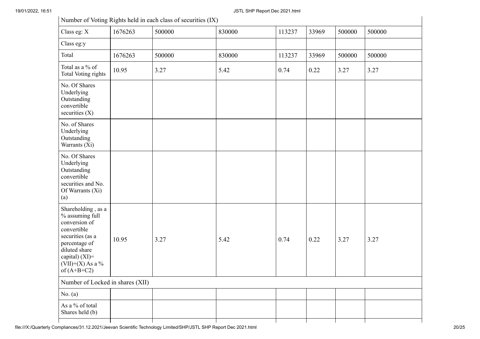|                                                                                                                                                                                      |         | Number of Voting Rights held in each class of securities (IX) |        |        |       |        |        |
|--------------------------------------------------------------------------------------------------------------------------------------------------------------------------------------|---------|---------------------------------------------------------------|--------|--------|-------|--------|--------|
| Class eg: X                                                                                                                                                                          | 1676263 | 500000                                                        | 830000 | 113237 | 33969 | 500000 | 500000 |
| Class eg:y                                                                                                                                                                           |         |                                                               |        |        |       |        |        |
| Total                                                                                                                                                                                | 1676263 | 500000                                                        | 830000 | 113237 | 33969 | 500000 | 500000 |
| Total as a % of<br><b>Total Voting rights</b>                                                                                                                                        | 10.95   | 3.27                                                          | 5.42   | 0.74   | 0.22  | 3.27   | 3.27   |
| No. Of Shares<br>Underlying<br>Outstanding<br>convertible<br>securities $(X)$                                                                                                        |         |                                                               |        |        |       |        |        |
| No. of Shares<br>Underlying<br>Outstanding<br>Warrants (Xi)                                                                                                                          |         |                                                               |        |        |       |        |        |
| No. Of Shares<br>Underlying<br>Outstanding<br>convertible<br>securities and No.<br>Of Warrants (Xi)<br>(a)                                                                           |         |                                                               |        |        |       |        |        |
| Shareholding, as a<br>% assuming full<br>conversion of<br>convertible<br>securities (as a<br>percentage of<br>diluted share<br>capital) (XI)=<br>$(VII)+(X)$ As a %<br>of $(A+B+C2)$ | 10.95   | 3.27                                                          | 5.42   | 0.74   | 0.22  | 3.27   | 3.27   |
| Number of Locked in shares (XII)                                                                                                                                                     |         |                                                               |        |        |       |        |        |
| No. $(a)$                                                                                                                                                                            |         |                                                               |        |        |       |        |        |
| As a % of total<br>Shares held (b)                                                                                                                                                   |         |                                                               |        |        |       |        |        |
|                                                                                                                                                                                      |         |                                                               |        |        |       |        |        |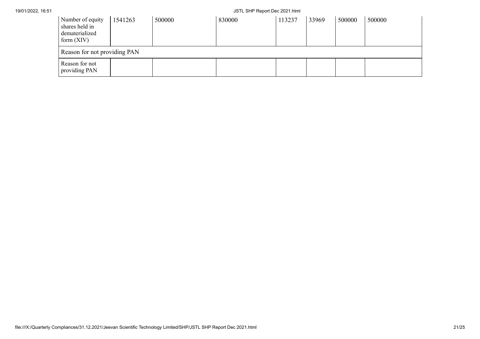| Number of equity<br>shares held in<br>dematerialized<br>form $(XIV)$ | 1541263 | 500000 | 830000 | 113237 | 33969 | 500000 | 500000 |
|----------------------------------------------------------------------|---------|--------|--------|--------|-------|--------|--------|
| Reason for not providing PAN                                         |         |        |        |        |       |        |        |
| Reason for not<br>providing PAN                                      |         |        |        |        |       |        |        |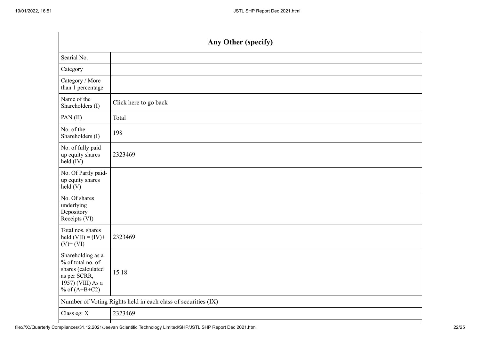|                                                                                                                      | Any Other (specify)                                           |
|----------------------------------------------------------------------------------------------------------------------|---------------------------------------------------------------|
| Searial No.                                                                                                          |                                                               |
| Category                                                                                                             |                                                               |
| Category / More<br>than 1 percentage                                                                                 |                                                               |
| Name of the<br>Shareholders (I)                                                                                      | Click here to go back                                         |
| PAN(II)                                                                                                              | Total                                                         |
| No. of the<br>Shareholders (I)                                                                                       | 198                                                           |
| No. of fully paid<br>up equity shares<br>$held$ (IV)                                                                 | 2323469                                                       |
| No. Of Partly paid-<br>up equity shares<br>held(V)                                                                   |                                                               |
| No. Of shares<br>underlying<br>Depository<br>Receipts (VI)                                                           |                                                               |
| Total nos. shares<br>held $(VII) = (IV) +$<br>$(V)$ + $(VI)$                                                         | 2323469                                                       |
| Shareholding as a<br>% of total no. of<br>shares (calculated<br>as per SCRR,<br>1957) (VIII) As a<br>% of $(A+B+C2)$ | 15.18                                                         |
|                                                                                                                      | Number of Voting Rights held in each class of securities (IX) |
| Class eg: X                                                                                                          | 2323469                                                       |
|                                                                                                                      |                                                               |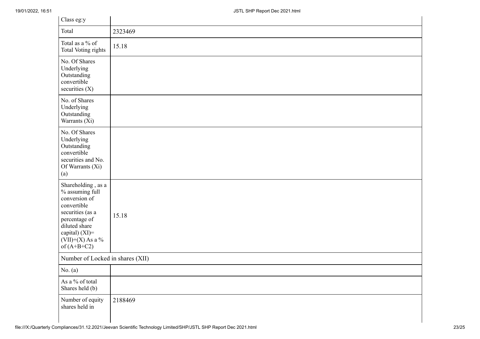| Class eg:y                                                                                                                                                                              |         |
|-----------------------------------------------------------------------------------------------------------------------------------------------------------------------------------------|---------|
| Total                                                                                                                                                                                   | 2323469 |
| Total as a % of<br>Total Voting rights                                                                                                                                                  | 15.18   |
| No. Of Shares<br>Underlying<br>Outstanding<br>convertible<br>securities $(X)$                                                                                                           |         |
| No. of Shares<br>Underlying<br>Outstanding<br>Warrants (Xi)                                                                                                                             |         |
| No. Of Shares<br>Underlying<br>Outstanding<br>convertible<br>securities and No.<br>Of Warrants (Xi)<br>(a)                                                                              |         |
| Shareholding, as a<br>$\%$ assuming full<br>conversion of<br>convertible<br>securities (as a<br>percentage of<br>diluted share<br>capital) (XI)=<br>$(VII)+(X)$ As a %<br>of $(A+B+C2)$ | 15.18   |
| Number of Locked in shares (XII)                                                                                                                                                        |         |
| No. $(a)$                                                                                                                                                                               |         |
| As a % of total<br>Shares held (b)                                                                                                                                                      |         |
| Number of equity<br>shares held in                                                                                                                                                      | 2188469 |

 $\mathbf{I}$ 

÷.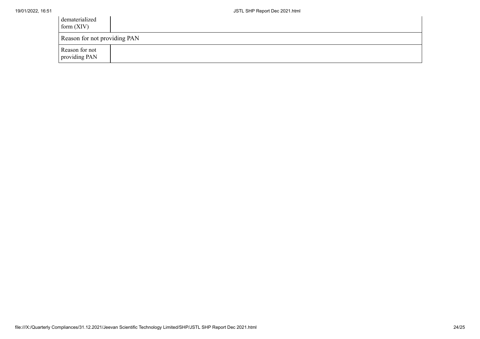| dematerialized<br>form $(XIV)$  |  |
|---------------------------------|--|
| Reason for not providing PAN    |  |
| Reason for not<br>providing PAN |  |